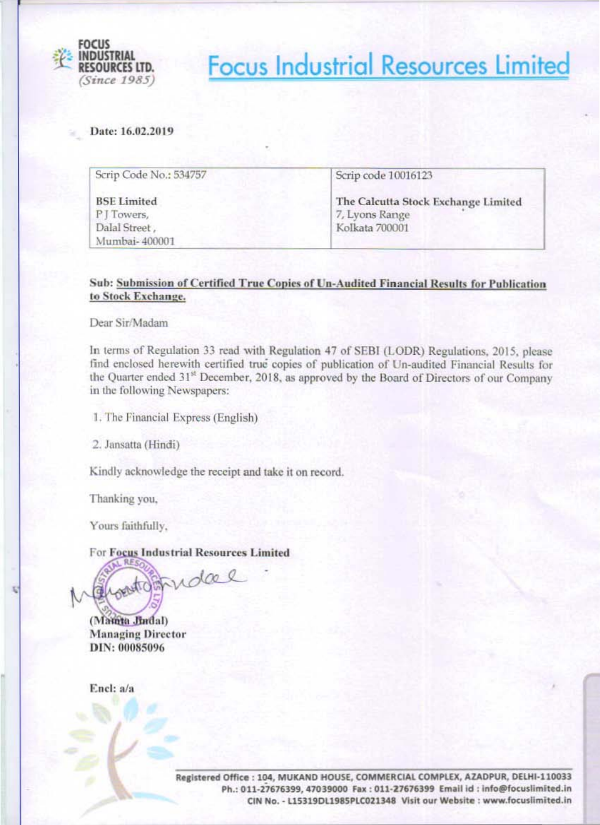

**Focus Industrial Resources Limited** 

Date: 16.02.2019

| Scrip Code No.: 534757                             | Scrip code 10016123                                                     |  |  |  |
|----------------------------------------------------|-------------------------------------------------------------------------|--|--|--|
| <b>BSE Limited</b><br>P J Towers,<br>Dalal Street, | The Calcutta Stock Exchange Limited<br>7, Lyons Range<br>Kolkata 700001 |  |  |  |
| Mumbai-400001                                      |                                                                         |  |  |  |

### Sub: Submission of Certified True Copies of Un-Audited Financial Results for Publication to Stock Exchange.

Dear Sir/Madam

In terms of Regulation 33 read with Regulation 47 of SEBI (LODR) Regulations, 2015, please find enclosed herewith certified true copies of publication of Un-audited Financial Results for the Quarter ended 31<sup>st</sup> December, 2018, as approved by the Board of Directors of our Company in the following Newspapers:

1. The Financial Express (English)

2. Jansatta (Hindi)

Kindly acknowledge the receipt and take it on record.

Thanking you,

Yours faithfully,

For Focus Industrial Resources Limited

watchtudae

(Mainta Jindal) **Managing Director** DIN: 00085096

Encl: a/a

Registered Office : 104, MUKAND HOUSE, COMMERCIAL COMPLEX, AZADPUR, DELHI-110033 Ph.: 011-27676399, 47039000 Fax : 011-27676399 Email id : info@focuslimited.in CIN No. - L15319DL1985PLC021348 Visit our Website : www.focuslimited.in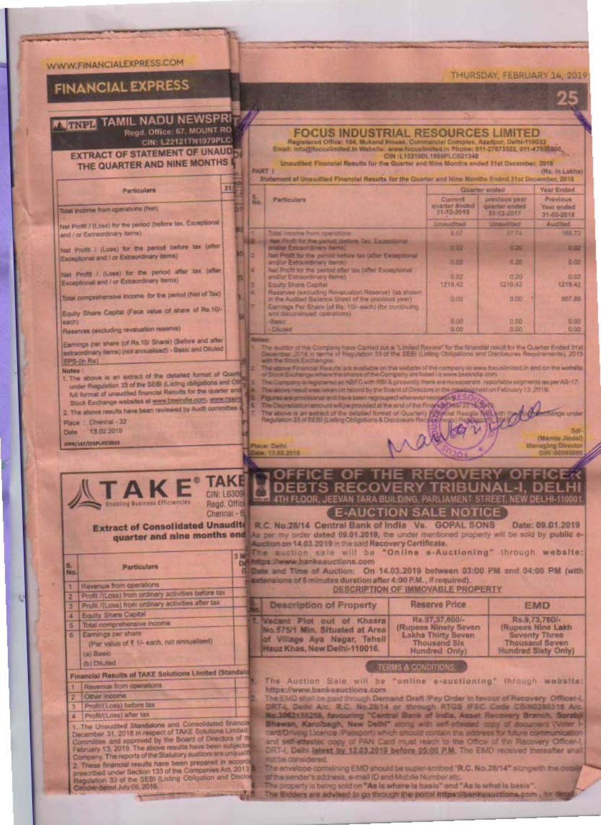## WWW.FINANCIALEXPRESS.COM

# **FINANCIAL EXPRESS**

# **THURIDA TAMIL NADU NEWSPRI**

Regd. Office: 67, MOUNT RO<br>CIN: L22121TN1979PLC

 $31$ 

**EXTRACT OF STATEMENT OF UNAUDEL** THE QUARTER AND NINE MONTHS I

#### Particulars

Total income from operations (Net)

Net Profit / (Loss) for the period (before tax, Expedional and / or Eatrocrdinary items)

Net Profit / (Loss) for the period before tax (after Escaptional and I or Extraordinary (terms)

Net Profit / (Loss) for the period after tax (after Exceptional and I or Extraordinary terms)

Total comprehensive income for the period (Net of Tax)

Equity Share Capital (Face value of share of Rs 10). each)

Reserves (excluding revaluation massive)

**Enabling Busin** 

Earnings per share (of Rx 10/ Share) (Before and after extreordinary items) (not annualised) - Basic and Diluted EPS-(in Rs)

#### **Notes**

No.

E

 $\overline{\bullet}$ 

x

1. The above is an extract of the detailed format of Quarte under Reputation 33 of the SEBI (Listing obligations and Off full format of unaudited financial Require for the quarter and Stock Exchange websites at www.bseindia.com, www.nseing 2. This above results have been reviewed by Audit committee

#### Place : Chevral - 32

13.02.2019 Date:

CHRA/167/DESPLACITIES

|                                                                                                                                                                                                                                                                     | <b>CON 12 2210</b> | 71162                                                                                                                        |
|---------------------------------------------------------------------------------------------------------------------------------------------------------------------------------------------------------------------------------------------------------------------|--------------------|------------------------------------------------------------------------------------------------------------------------------|
| ΚE<br>» Efficiencies                                                                                                                                                                                                                                                |                    | OFFICE OF THE RECOVERY OF<br><b>IDEBTS RECOVERY TRIBUNAL-I.</b><br>ATH FLOOR, JEEVAN TARA BUILDING, PARLIAMENT STREET, NEW D |
| Regd, Office<br>Chennai - 6<br><b>Contract of the Contract of the Contract of the Contract of the Contract of the Contract of the Contract of the Contract of the Contract of the Contract of the Contract of the Contract of the Contract of the Contract of t</b> |                    | <b>E-AUCTION SALE NOTICE</b><br>H. SEH Cantril Dayle of built Ve CODAI COMP.<br><b>Charles Company</b>                       |

**Extract of Consolidated Un** 

09.01.2019 quarter and nine months end As per my order dated 09.01.2019, the under mentioned property will be sold by public e-Auction on 14.03.2019 in the said Recovery Certificate. The suction sale will be "Online e-Auctioning" through website:

be https://www.bankeauctions.com Date and Time of Auction: On 14.03.2019 between 03:00 PM and 04:00 PM (with extensions of 5 minutes duration after 4:00 P.M., if required).

#### DESCRIPTION OF IMMOVABLE PROPERTY

| Description of Property                                                                                                        | Reserve Price                                                                                         | <b>EMD</b>                                                                                    |
|--------------------------------------------------------------------------------------------------------------------------------|-------------------------------------------------------------------------------------------------------|-----------------------------------------------------------------------------------------------|
| L Vacant Plot out of Khasra<br>No. 575/1 Min. Situated at Area<br>of Village Aya Nagar, Tehsil<br>Hauz Khas, New Delhi-110016. | Ra.97,37,600/-<br>(Rupees Ninety Savon)<br>Lakhs Thirty Seven<br><b>Thousand Six</b><br>Hundred Only) | Rs.9.73,760/-<br>(Rupeas Nine Lakh)<br>Seventy Three<br>Thousand Seven<br>Hundred Slaty Only) |

#### TERMS & CONDITIONS

The Audtion Sale will be "online e-audtioning" through website: https://www.bankeauctions.com

The EMD stull be paid through Demand Draft Pay Order In fevour of Recovery Officer-L DRT4, Daibi Alc. R.C. No.25/14 or through RTGS IFSC Code CBIN0280318 Alc. No.1052155258, favouring "Central Bank of India, Asset Recovery Branch, Sorabji Shewan, Karolbegh, New Delhi\* slong with self-stiested copy of document (Voter 1) card/Driving Licence (Passport) which should contain the address for future communication and self-attested copy of PAN Card must reach to the Office of the Recovery Officer-DRT-I, Delti latest by 12.03.2019 before 05:00 P.M. The EMD received thereafter shall hut be considered

The envelope containing EMD should be super-scribed "R.C. No.28/14" alongwith the detail of the sender's address, e-mail ID and Mobile Number etc.

The property is being sold on "As is where is basis" and "As is what is basis".

The Bidders are advised to go through the portal https://bankeauctions.com , for de

| nancial Results of TAKE Solutions Limited (Standals |  |  |
|-----------------------------------------------------|--|--|
| <b>Devenue from operations</b>                      |  |  |

Particulars

Profit /(Loss) from ordinary activities before tax

Profit /(Loss) from ordinary activities after tax

(Par value of ₹ 1/- each, not annualised)

Revenue from operations

Equity Share Capital Total comprehensive income

Eamings per share

(a) Basic (b) Diluted

- Other Income Profitt(Losa) before tax
- Profit/(Loss) after tax 4

The Unaudited Standalone and Consolidated financial December 31, 2018 in respect of TAKE Solutions Limited Committee and approved by the Board of Directors of th February 13, 2019. The above results have been subjected<br>Company. The reports of the Statutory auditors are unqualit 2. These financial results have been prepared in according<br>prescribed under Section 133 of the Companies Act, 2013 я Regulation 33 of the SEBI (Listing Obligation and Disclo irouler dated July 05, 2018.

#### THURSDAY, FEBRUARY 14, 2019

**FOCUS INDUSTRIAL RESOURCES LIMITED** Registered Office: 184, Mukand House, Commercial Complex, Azadpur, Delhi-110033<br>Email: Info(Efocusiinding), In Wabshe, www.focusiinding.in Phone: 011-27673522, 011-47631368,

Unaudited Financial Results for the Quarter and Nine Months ended 31st December, 2018 **FART-1** (Rs. in Lakha) Statement of Unaudited Financial Results for the Quarter and Nine Months Ended 31at Dec mber, 2018 **Quarter** soded Year Ended Ł previous year Printerin Particulars Current quarter ander<br>31-12-2013 **Year ended** 31-12-2017 31-03-2018 mauditas Auditard 144.23 生産 Net Profit for the partial parlam Tax, Experience  $0.22$ 225 0.02 Net Pealt for the period before tax (after Exceptional 8.03 0.30  $0.02$ andlor Fatracedosary dema lest Profit for the period offer tax jatter Exceptional 白白 and/or Extraordinary items)  $0.20$ 1210.42 1219.42 1219.42 Equity Share Capital Reserves (excluding Revaluation Reserve) (as shown in the Audited Balance Sheet of the previous year)<br>Earnings Fer Shere (of Rs. 10) each) (for continuing **15.153** 8.60 1957 80

CIN :L153190L1985PLC021348

and discontinued operations) **Winds** 0.00 **Basic D.DO Cristino** 0.00 0.00

the Company have Carried out a "Limited Review" for the financial meutical to the Quarter Ended 31st<br>16 in terms of Regulation 33 of the SEBI (Listing Obligations and Olaclosures Requirements), 2015

é alpour Financial Results are mestable on the walsets of the company is were focus in lood in and on the website<br>Signit Eacher on where the shares of the Company are taled i a www.basindia.com

egistered as NGFC with RSI & prosently them are no ascentate reportable segments as per AS-17. The actions researches to each out respond by the Board of Olymptons in the maiding held on February 13, 2019.

The Decree as provided at the second decree and of the The Decree and of the The Decree and of the Second Control of the Second Control of Courtes, and of the Second Courtes, and of the Second Courtes, and the Second Court

**Mamte Jimdal** ging Directo

**Tienge under**